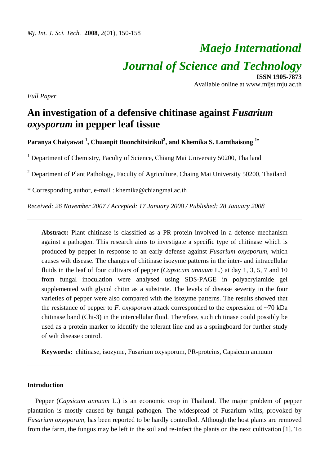# *Maejo International Journal of Science and Technology* **ISSN 1905-7873**

Available online at www.mijst.mju.ac.th

*Full Paper* 

## **An investigation of a defensive chitinase against** *Fusarium oxysporum* **in pepper leaf tissue**

**Paranya Chaiyawat <sup>1</sup> , Chuanpit Boonchitsirikul<sup>2</sup> , and Khemika S. Lomthaisong <sup>1</sup>**<sup>∗</sup> 

<sup>1</sup> Department of Chemistry, Faculty of Science, Chiang Mai University 50200, Thailand

<sup>2</sup> Department of Plant Pathology, Faculty of Agriculture, Chaing Mai University 50200, Thailand

\* Corresponding author, e-mail : khemika@chiangmai.ac.th

*Received: 26 November 2007 / Accepted: 17 January 2008 / Published: 28 January 2008* 

**Abstract:** Plant chitinase is classified as a PR-protein involved in a defense mechanism against a pathogen. This research aims to investigate a specific type of chitinase which is produced by pepper in response to an early defense against *Fusarium oxysporum*, which causes wilt disease. The changes of chitinase isozyme patterns in the inter- and intracellular fluids in the leaf of four cultivars of pepper (*Capsicum annuum* L.) at day 1, 3, 5, 7 and 10 from fungal inoculation were analysed using SDS-PAGE in polyacrylamide gel supplemented with glycol chitin as a substrate. The levels of disease severity in the four varieties of pepper were also compared with the isozyme patterns. The results showed that the resistance of pepper to *F. oxysporum* attack corresponded to the expression of ~70 kDa chitinase band (Chi-3) in the intercellular fluid. Therefore, such chitinase could possibly be used as a protein marker to identify the tolerant line and as a springboard for further study of wilt disease control.

**Keywords:** chitinase, isozyme, Fusarium oxysporum, PR-proteins, Capsicum annuum

## **Introduction**

Pepper (*Capsicum annuum* L.) is an economic crop in Thailand. The major problem of pepper plantation is mostly caused by fungal pathogen. The widespread of Fusarium wilts, provoked by *Fusarium oxysporum,* has been reported to be hardly controlled. Although the host plants are removed from the farm, the fungus may be left in the soil and re-infect the plants on the next cultivation [1]. To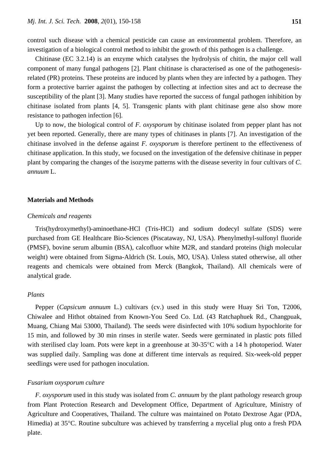control such disease with a chemical pesticide can cause an environmental problem. Therefore, an investigation of a biological control method to inhibit the growth of this pathogen is a challenge.

Chitinase (EC 3.2.14) is an enzyme which catalyses the hydrolysis of chitin, the major cell wall component of many fungal pathogens [2]. Plant chitinase is characterised as one of the pathogenesisrelated (PR) proteins. These proteins are induced by plants when they are infected by a pathogen. They form a protective barrier against the pathogen by collecting at infection sites and act to decrease the susceptibility of the plant [3]. Many studies have reported the success of fungal pathogen inhibition by chitinase isolated from plants [4, 5]. Transgenic plants with plant chitinase gene also show more resistance to pathogen infection [6].

Up to now, the biological control of *F. oxysporum* by chitinase isolated from pepper plant has not yet been reported. Generally, there are many types of chitinases in plants [7]. An investigation of the chitinase involved in the defense against *F. oxysporum* is therefore pertinent to the effectiveness of chitinase application. In this study, we focused on the investigation of the defensive chitinase in pepper plant by comparing the changes of the isozyme patterns with the disease severity in four cultivars of *C*. *annuum* L.

#### **Materials and Methods**

## *Chemicals and reagents*

Tris(hydroxymethyl)-aminoethane-HCl (Tris-HCl) and sodium dodecyl sulfate (SDS) were purchased from GE Healthcare Bio-Sciences (Piscataway, NJ, USA). Phenylmethyl-sulfonyl fluoride (PMSF), bovine serum albumin (BSA), calcofluor white M2R, and standard proteins (high molecular weight) were obtained from Sigma-Aldrich (St. Louis, MO, USA). Unless stated otherwise, all other reagents and chemicals were obtained from Merck (Bangkok, Thailand). All chemicals were of analytical grade.

## *Plants*

Pepper (*Capsicum annuum* L.) cultivars (cv.) used in this study were Huay Sri Ton, T2006, Chiwalee and Hithot obtained from Known-You Seed Co. Ltd. (43 Ratchaphuek Rd., Changpuak, Muang, Chiang Mai 53000, Thailand). The seeds were disinfected with 10% sodium hypochlorite for 15 min, and followed by 30 min rinses in sterile water. Seeds were germinated in plastic pots filled with sterilised clay loam. Pots were kept in a greenhouse at 30-35°C with a 14 h photoperiod. Water was supplied daily. Sampling was done at different time intervals as required. Six-week-old pepper seedlings were used for pathogen inoculation.

## *Fusarium oxysporum culture*

*F. oxysporum* used in this study was isolated from *C. annuum* by the plant pathology research group from Plant Protection Research and Development Office, Department of Agriculture, Ministry of Agriculture and Cooperatives, Thailand. The culture was maintained on Potato Dextrose Agar (PDA, Himedia) at 35°C. Routine subculture was achieved by transferring a mycelial plug onto a fresh PDA plate.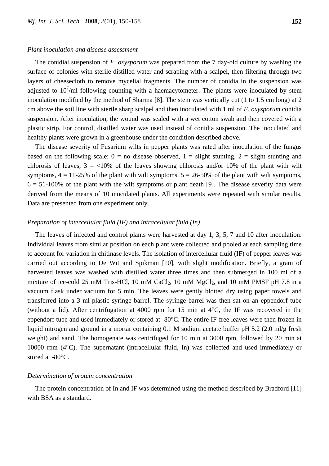#### *Plant inoculation and disease assessment*

The conidial suspension of *F. oxysporum* was prepared from the 7 day-old culture by washing the surface of colonies with sterile distilled water and scraping with a scalpel, then filtering through two layers of cheesecloth to remove mycelial fragments. The number of conidia in the suspension was adjusted to  $10^7$ /ml following counting with a haemacytometer. The plants were inoculated by stem inoculation modified by the method of Sharma [8]. The stem was vertically cut (1 to 1.5 cm long) at 2 cm above the soil line with sterile sharp scalpel and then inoculated with 1 ml of *F. oxysporum* conidia suspension. After inoculation, the wound was sealed with a wet cotton swab and then covered with a plastic strip. For control, distilled water was used instead of conidia suspension. The inoculated and healthy plants were grown in a greenhouse under the condition described above.

The disease severity of Fusarium wilts in pepper plants was rated after inoculation of the fungus based on the following scale:  $0 =$  no disease observed,  $1 =$  slight stunting,  $2 =$  slight stunting and chlorosis of leaves,  $3 = \langle 10\%$  of the leaves showing chlorosis and/or 10% of the plant with wilt symptoms,  $4 = 11-25\%$  of the plant with wilt symptoms,  $5 = 26-50\%$  of the plant with wilt symptoms,  $6 = 51-100\%$  of the plant with the wilt symptoms or plant death [9]. The disease severity data were derived from the means of 10 inoculated plants. All experiments were repeated with similar results. Data are presented from one experiment only.

## *Preparation of intercellular fluid (IF) and intracellular fluid (In)*

The leaves of infected and control plants were harvested at day 1, 3, 5, 7 and 10 after inoculation. Individual leaves from similar position on each plant were collected and pooled at each sampling time to account for variation in chitinase levels. The isolation of intercellular fluid (IF) of pepper leaves was carried out according to De Wit and Spikman [10], with slight modification. Briefly, a gram of harvested leaves was washed with distilled water three times and then submerged in 100 ml of a mixture of ice-cold 25 mM Tris-HCl, 10 mM  $CaCl<sub>2</sub>$ , 10 mM  $MgCl<sub>2</sub>$ , and 10 mM PMSF pH 7.8 in a vacuum flask under vacuum for 5 min. The leaves were gently blotted dry using paper towels and transferred into a 3 ml plastic syringe barrel. The syringe barrel was then sat on an eppendorf tube (without a lid). After centrifugation at 4000 rpm for 15 min at 4°C, the IF was recovered in the eppendorf tube and used immediately or stored at -80°C. The entire IF-free leaves were then frozen in liquid nitrogen and ground in a mortar containing 0.1 M sodium acetate buffer pH 5.2 (2.0 ml/g fresh weight) and sand. The homogenate was centrifuged for 10 min at 3000 rpm, followed by 20 min at 10000 rpm (4°C). The supernatant (intracellular fluid, In) was collected and used immediately or stored at -80°C.

#### *Determination of protein concentration*

The protein concentration of In and IF was determined using the method described by Bradford [11] with BSA as a standard.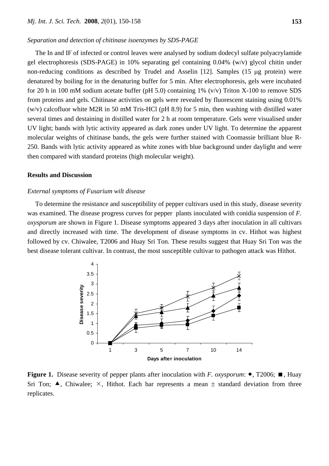#### *Separation and detection of chitinase isoenzymes by SDS-PAGE*

The In and IF of infected or control leaves were analysed by sodium dodecyl sulfate polyacrylamide gel electrophoresis (SDS-PAGE) in 10% separating gel containing 0.04% (w/v) glycol chitin under non-reducing conditions as described by Trudel and Asselin [12]. Samples (15 μg protein) were denatured by boiling for in the denaturing buffer for 5 min. After electrophoresis, gels were incubated for 20 h in 100 mM sodium acetate buffer (pH 5.0) containing 1% (v/v) Triton X-100 to remove SDS from proteins and gels. Chitinase activities on gels were revealed by fluorescent staining using 0.01% (w/v) calcofluor white M2R in 50 mM Tris-HCl (pH 8.9) for 5 min, then washing with distilled water several times and destaining in distilled water for 2 h at room temperature. Gels were visualised under UV light; bands with lytic activity appeared as dark zones under UV light. To determine the apparent molecular weights of chitinase bands, the gels were further stained with Coomassie brilliant blue R-250. Bands with lytic activity appeared as white zones with blue background under daylight and were then compared with standard proteins (high molecular weight).

#### **Results and Discussion**

#### *External symptoms of Fusarium wilt disease*

To determine the resistance and susceptibility of pepper cultivars used in this study, disease severity was examined. The disease progress curves for pepper plants inoculated with conidia suspension of *F. oxysporum* are shown in Figure 1. Disease symptoms appeared 3 days after inoculation in all cultivars and directly increased with time. The development of disease symptoms in cv. Hithot was highest followed by cv. Chiwalee, T2006 and Huay Sri Ton. These results suggest that Huay Sri Ton was the best disease tolerant cultivar. In contrast, the most susceptible cultivar to pathogen attack was Hithot.



**Figure 1.** Disease severity of pepper plants after inoculation with *F. oxysporum*:  $\bullet$ , T2006;  $\blacksquare$ , Huay Sri Ton;  $\blacktriangle$ , Chiwalee;  $\times$ , Hithot. Each bar represents a mean  $\pm$  standard deviation from three replicates.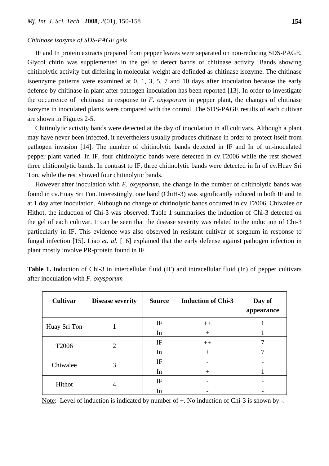## *Chitinase isozyme of SDS-PAGE gels*

IF and In protein extracts prepared from pepper leaves were separated on non-reducing SDS-PAGE. Glycol chitin was supplemented in the gel to detect bands of chitinase activity. Bands showing chitinolytic activity but differing in molecular weight are definded as chitinase isozyme. The chitinase isoenzyme patterns were examined at 0, 1, 3, 5, 7 and 10 days after inoculation because the early defense by chitinase in plant after pathogen inoculation has been reported [13]. In order to investigate the occurrence of chitinase in response to *F. oxysporum* in pepper plant, the changes of chitinase isozyme in inoculated plants were compared with the control. The SDS-PAGE results of each cultivar are shown in Figures 2-5.

Chitinolytic activity bands were detected at the day of inoculation in all cultivars. Although a plant may have never been infected, it nevertheless usually produces chitinase in order to protect itself from pathogen invasion [14]. The number of chitinolytic bands detected in IF and In of un-inoculated pepper plant varied. In IF, four chitinolytic bands were detected in cv.T2006 while the rest showed three chitionolytic bands. In contrast to IF, three chitinolytic bands were detected in In of cv.Huay Sri Ton, while the rest showed four chitinolytic bands.

However after inoculation with *F. oxysporum*, the change in the number of chitinolytic bands was found in cv.Huay Sri Ton. Interestingly, one band (ChiH-3) was significantly induced in both IF and In at 1 day after inoculation. Although no change of chitinolytic bands occurred in cv.T2006, Chiwalee or Hithot, the induction of Chi-3 was observed. Table 1 summarises the induction of Chi-3 detected on the gel of each cultivar. It can be seen that the disease severity was related to the induction of Chi-3 particularly in IF. This evidence was also observed in resistant cultivar of sorghum in response to fungal infection [15]. Liao *et. al.* [16] explained that the early defense against pathogen infection in plant mostly involve PR-protein found in IF.

| Cultivar          | <b>Disease severity</b> | <b>Source</b> | <b>Induction of Chi-3</b> | Day of<br>appearance |
|-------------------|-------------------------|---------------|---------------------------|----------------------|
| Huay Sri Ton      |                         | IF            | $++$                      |                      |
|                   |                         | In            | $^{+}$                    |                      |
| T <sub>2006</sub> | 2                       | IF            | $++$                      |                      |
|                   |                         | In            | $^{+}$                    |                      |
| Chiwalee          | 3                       | IF            |                           |                      |
|                   |                         | In            | $^{+}$                    |                      |
| Hithot            | 4                       | IF            |                           |                      |
|                   |                         | In            |                           |                      |

**Table 1.** Induction of Chi-3 in intercellular fluid (IF) and intracellular fluid (In) of pepper cultivars after inoculation with *F. oxysporum*

Note: Level of induction is indicated by number of  $+$ . No induction of Chi-3 is shown by -.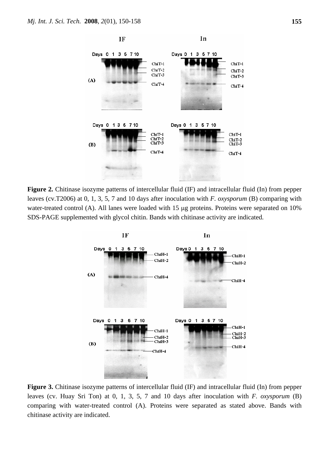

**Figure 2.** Chitinase isozyme patterns of intercellular fluid (IF) and intracellular fluid (In) from pepper leaves (cv.T2006) at 0, 1, 3, 5, 7 and 10 days after inoculation with *F. oxysporum* (B) comparing with water-treated control (A). All lanes were loaded with 15 μg proteins. Proteins were separated on 10% SDS-PAGE supplemented with glycol chitin. Bands with chitinase activity are indicated.



**Figure 3.** Chitinase isozyme patterns of intercellular fluid (IF) and intracellular fluid (In) from pepper leaves (cv. Huay Sri Ton) at 0, 1, 3, 5, 7 and 10 days after inoculation with *F. oxysporum* (B) comparing with water-treated control (A). Proteins were separated as stated above. Bands with chitinase activity are indicated.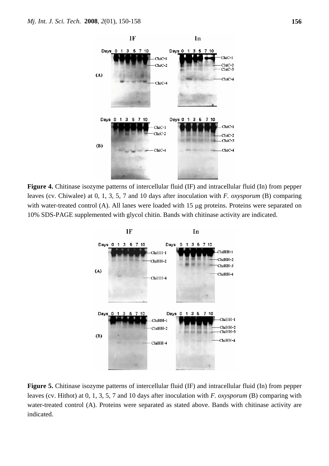

**Figure 4.** Chitinase isozyme patterns of intercellular fluid (IF) and intracellular fluid (In) from pepper leaves (cv. Chiwalee) at 0, 1, 3, 5, 7 and 10 days after inoculation with *F. oxysporum* (B) comparing with water-treated control (A). All lanes were loaded with 15 μg proteins. Proteins were separated on 10% SDS-PAGE supplemented with glycol chitin. Bands with chitinase activity are indicated.



**Figure 5.** Chitinase isozyme patterns of intercellular fluid (IF) and intracellular fluid (In) from pepper leaves (cv. Hithot) at 0, 1, 3, 5, 7 and 10 days after inoculation with *F. oxysporum* (B) comparing with water-treated control (A). Proteins were separated as stated above. Bands with chitinase activity are indicated.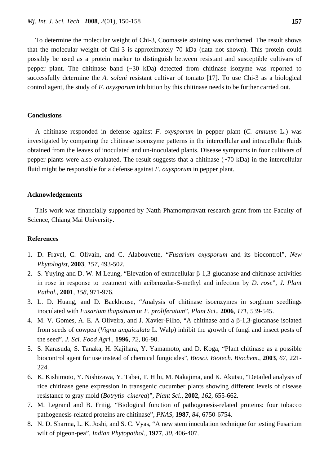To determine the molecular weight of Chi-3, Coomassie staining was conducted. The result shows that the molecular weight of Chi-3 is approximately 70 kDa (data not shown). This protein could possibly be used as a protein marker to distinguish between resistant and susceptible cultivars of pepper plant. The chitinase band (~30 kDa) detected from chitinase isozyme was reported to successfully determine the *A. solani* resistant cultivar of tomato [17]. To use Chi-3 as a biological control agent, the study of *F. oxysporum* inhibition by this chitinase needs to be further carried out.

#### **Conclusions**

A chitinase responded in defense against *F. oxysporum* in pepper plant (*C. annuum* L.) was investigated by comparing the chitinase isoenzyme patterns in the intercellular and intracellular fluids obtained from the leaves of inoculated and un-inoculated plants. Disease symptoms in four cultivars of pepper plants were also evaluated. The result suggests that a chitinase (~70 kDa) in the intercellular fluid might be responsible for a defense against *F. oxysporum* in pepper plant.

#### **Acknowledgements**

This work was financially supported by Natth Phamornpravatt research grant from the Faculty of Science, Chiang Mai University.

## **References**

- 1. D. Fravel, C. Olivain, and C. Alabouvette, "*Fusarium oxysporum* and its biocontrol", *New Phytologist*, **2003**, *157*, 493-502.
- 2. S. Yuying and D. W. M Leung, "Elevation of extracellular β-1,3-glucanase and chitinase activities in rose in response to treatment with acibenzolar-S-methyl and infection by *D. rose*", *J. Plant Pathol*., **2001**, *158*, 971-976.
- 3. L. D. Huang, and D. Backhouse, "Analysis of chitinase isoenzymes in sorghum seedlings inoculated with *Fusarium thapsinum* or *F. proliferatum*", *Plant Sci*., **2006**, *171*, 539-545.
- 4. M. V. Gomes, A. E. A Oliveira, and J. Xavier-Filho, "A chitinase and a β-1,3-glucanase isolated from seeds of cowpea (*Vigna unguiculata* L. Walp) inhibit the growth of fungi and insect pests of the seed", *J. Sci. Food Agri*., **1996**, *72*, 86-90.
- 5. S. Karasuda, S. Tanaka, H. Kajihara, Y. Yamamoto, and D. Koga, "Plant chitinase as a possible biocontrol agent for use instead of chemical fungicides", *Biosci. Biotech. Biochem*., **2003**, *67*, 221- 224.
- 6. K. Kishimoto, Y. Nishizawa, Y. Tabei, T. Hibi, M. Nakajima, and K. Akutsu, "Detailed analysis of rice chitinase gene expression in transgenic cucumber plants showing different levels of disease resistance to gray mold (*Botrytis cinerea*)", *Plant Sci*., **2002**, *162*, 655-662.
- 7. M. Legrand and B. Fritig, "Biological function of pathogenesis-related proteins: four tobacco pathogenesis-related proteins are chitinase", *PNAS*, **1987**, *84*, 6750-6754.
- 8. N. D. Sharma, L. K. Joshi, and S. C. Vyas, "A new stem inoculation technique for testing Fusarium wilt of pigeon-pea", *Indian Phytopathol.*, **1977**, *30*, 406-407.